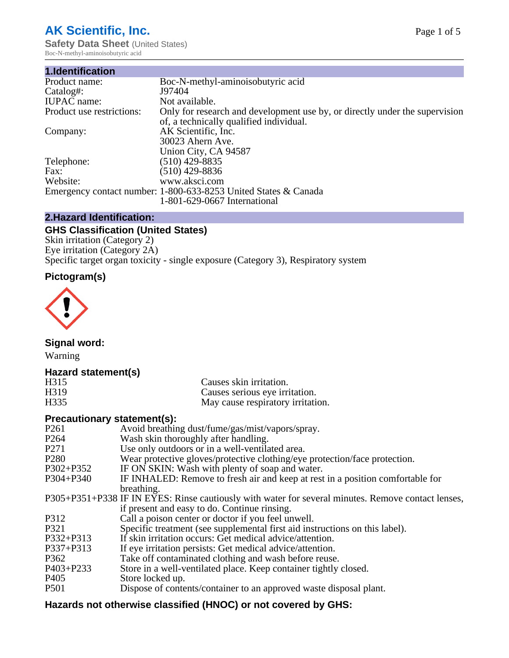# **AK Scientific, Inc.**

**Safety Data Sheet (United States)** Boc-N-methyl-aminoisobutyric acid

| 1.Identification          |                                                                                                                        |
|---------------------------|------------------------------------------------------------------------------------------------------------------------|
| Product name:             | Boc-N-methyl-aminoisobutyric acid                                                                                      |
| Catalog#:                 | J97404                                                                                                                 |
| <b>IUPAC</b> name:        | Not available.                                                                                                         |
| Product use restrictions: | Only for research and development use by, or directly under the supervision<br>of, a technically qualified individual. |
| Company:                  | AK Scientific, Inc.<br>30023 Ahern Ave.<br>Union City, CA 94587                                                        |
| Telephone:                | $(510)$ 429-8835                                                                                                       |
| Fax:                      | (510) 429-8836                                                                                                         |
| Website:                  | www.aksci.com                                                                                                          |
|                           | Emergency contact number: 1-800-633-8253 United States & Canada<br>1-801-629-0667 International                        |

# **2.Hazard Identification:**

# **GHS Classification (United States)**

Skin irritation (Category 2) Eye irritation (Category 2A) Specific target organ toxicity - single exposure (Category 3), Respiratory system

# **Pictogram(s)**



**Signal word:**

Warning

## **Hazard statement(s)**

| H315              | Causes skin irritation.           |
|-------------------|-----------------------------------|
| H <sub>3</sub> 19 | Causes serious eye irritation.    |
| H335              | May cause respiratory irritation. |

#### **Precautionary statement(s):**

| P <sub>261</sub> | Avoid breathing dust/fume/gas/mist/vapors/spray.                                                   |
|------------------|----------------------------------------------------------------------------------------------------|
| P <sub>264</sub> | Wash skin thoroughly after handling.                                                               |
| P <sub>271</sub> | Use only outdoors or in a well-ventilated area.                                                    |
| P <sub>280</sub> | Wear protective gloves/protective clothing/eye protection/face protection.                         |
| P302+P352        | IF ON SKIN: Wash with plenty of soap and water.                                                    |
| $P304 + P340$    | IF INHALED: Remove to fresh air and keep at rest in a position comfortable for                     |
|                  | breathing.                                                                                         |
|                  | P305+P351+P338 IF IN EYES: Rinse cautiously with water for several minutes. Remove contact lenses, |
|                  | if present and easy to do. Continue rinsing.                                                       |
| P312             | Call a poison center or doctor if you feel unwell.                                                 |
| P321             | Specific treatment (see supplemental first aid instructions on this label).                        |
| P332+P313        | If skin irritation occurs: Get medical advice/attention.                                           |
| P337+P313        | If eye irritation persists: Get medical advice/attention.                                          |
| P362             | Take off contaminated clothing and wash before reuse.                                              |
| $P403 + P233$    | Store in a well-ventilated place. Keep container tightly closed.                                   |
| P <sub>405</sub> | Store locked up.                                                                                   |
| P <sub>501</sub> | Dispose of contents/container to an approved waste disposal plant.                                 |
|                  |                                                                                                    |

# **Hazards not otherwise classified (HNOC) or not covered by GHS:**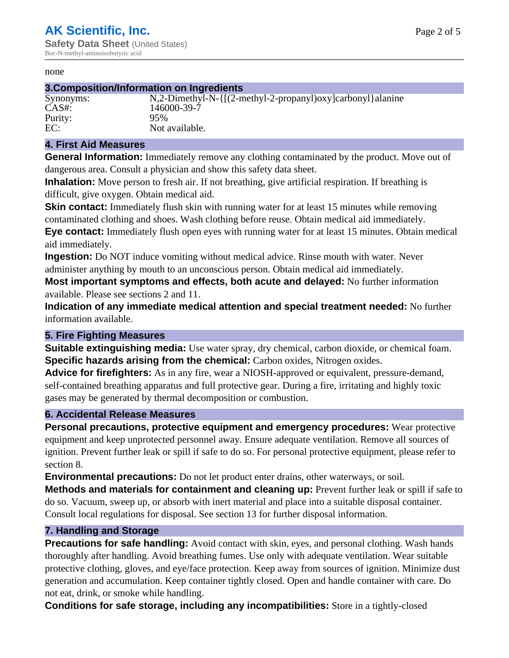#### none

#### **3.Composition/Information on Ingredients**

# Purity: 95%<br>EC: Not

Synonyms:  $N$ ,2-Dimethyl-N-{ $[(2-methyl-2-propany]$ )oxy]carbonyl}alanine CAS#: 146000-39-7 Not available.

#### **4. First Aid Measures**

**General Information:** Immediately remove any clothing contaminated by the product. Move out of dangerous area. Consult a physician and show this safety data sheet.

**Inhalation:** Move person to fresh air. If not breathing, give artificial respiration. If breathing is difficult, give oxygen. Obtain medical aid.

**Skin contact:** Immediately flush skin with running water for at least 15 minutes while removing contaminated clothing and shoes. Wash clothing before reuse. Obtain medical aid immediately. **Eye contact:** Immediately flush open eyes with running water for at least 15 minutes. Obtain medical aid immediately.

**Ingestion:** Do NOT induce vomiting without medical advice. Rinse mouth with water. Never administer anything by mouth to an unconscious person. Obtain medical aid immediately.

**Most important symptoms and effects, both acute and delayed:** No further information available. Please see sections 2 and 11.

**Indication of any immediate medical attention and special treatment needed:** No further information available.

#### **5. Fire Fighting Measures**

**Suitable extinguishing media:** Use water spray, dry chemical, carbon dioxide, or chemical foam. **Specific hazards arising from the chemical:** Carbon oxides, Nitrogen oxides.

**Advice for firefighters:** As in any fire, wear a NIOSH-approved or equivalent, pressure-demand, self-contained breathing apparatus and full protective gear. During a fire, irritating and highly toxic gases may be generated by thermal decomposition or combustion.

#### **6. Accidental Release Measures**

**Personal precautions, protective equipment and emergency procedures:** Wear protective equipment and keep unprotected personnel away. Ensure adequate ventilation. Remove all sources of ignition. Prevent further leak or spill if safe to do so. For personal protective equipment, please refer to section 8.

**Environmental precautions:** Do not let product enter drains, other waterways, or soil.

**Methods and materials for containment and cleaning up:** Prevent further leak or spill if safe to do so. Vacuum, sweep up, or absorb with inert material and place into a suitable disposal container. Consult local regulations for disposal. See section 13 for further disposal information.

#### **7. Handling and Storage**

**Precautions for safe handling:** Avoid contact with skin, eyes, and personal clothing. Wash hands thoroughly after handling. Avoid breathing fumes. Use only with adequate ventilation. Wear suitable protective clothing, gloves, and eye/face protection. Keep away from sources of ignition. Minimize dust generation and accumulation. Keep container tightly closed. Open and handle container with care. Do not eat, drink, or smoke while handling.

**Conditions for safe storage, including any incompatibilities:** Store in a tightly-closed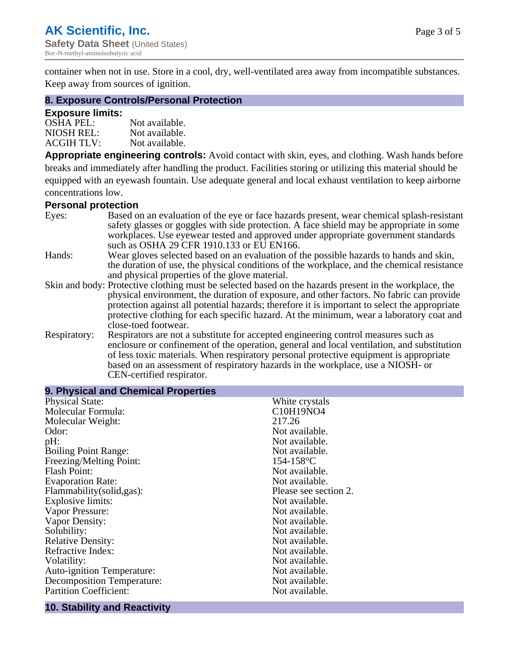container when not in use. Store in a cool, dry, well-ventilated area away from incompatible substances. Keep away from sources of ignition.

#### **8. Exposure Controls/Personal Protection**

#### **Exposure limits:**

| <b>OSHA PEL:</b>  | Not available. |
|-------------------|----------------|
| NIOSH REL:        | Not available. |
| <b>ACGIH TLV:</b> | Not available. |

**Appropriate engineering controls:** Avoid contact with skin, eyes, and clothing. Wash hands before breaks and immediately after handling the product. Facilities storing or utilizing this material should be equipped with an eyewash fountain. Use adequate general and local exhaust ventilation to keep airborne concentrations low.

#### **Personal protection**

| Eyes:        | Based on an evaluation of the eye or face hazards present, wear chemical splash-resistant<br>safety glasses or goggles with side protection. A face shield may be appropriate in some |
|--------------|---------------------------------------------------------------------------------------------------------------------------------------------------------------------------------------|
|              | workplaces. Use eyewear tested and approved under appropriate government standards<br>such as OSHA 29 CFR 1910.133 or EU EN166.                                                       |
| Hands:       | Wear gloves selected based on an evaluation of the possible hazards to hands and skin,                                                                                                |
|              | the duration of use, the physical conditions of the workplace, and the chemical resistance                                                                                            |
|              | and physical properties of the glove material.                                                                                                                                        |
|              | Skin and body: Protective clothing must be selected based on the hazards present in the workplace, the                                                                                |
|              | physical environment, the duration of exposure, and other factors. No fabric can provide                                                                                              |
|              | protection against all potential hazards; therefore it is important to select the appropriate                                                                                         |
|              | protective clothing for each specific hazard. At the minimum, wear a laboratory coat and                                                                                              |
|              | close-toed footwear.                                                                                                                                                                  |
| Respiratory: | Respirators are not a substitute for accepted engineering control measures such as<br>enclosure or confinement of the operation, general and local ventilation, and substitution      |
|              | of less toxic materials. When respiratory personal protective equipment is appropriate                                                                                                |
|              |                                                                                                                                                                                       |
|              | based on an assessment of respiratory hazards in the workplace, use a NIOSH- or                                                                                                       |
|              | CEN-certified respirator.                                                                                                                                                             |

| 9. Physical and Chemical Properties |                       |  |  |
|-------------------------------------|-----------------------|--|--|
| <b>Physical State:</b>              | White crystals        |  |  |
| Molecular Formula:                  | C10H19NO4             |  |  |
| Molecular Weight:                   | 217.26                |  |  |
| Odor:                               | Not available.        |  |  |
| pH:                                 | Not available.        |  |  |
| <b>Boiling Point Range:</b>         | Not available.        |  |  |
| Freezing/Melting Point:             | $154 - 158$ °C        |  |  |
| <b>Flash Point:</b>                 | Not available.        |  |  |
| <b>Evaporation Rate:</b>            | Not available.        |  |  |
| Flammability(solid,gas):            | Please see section 2. |  |  |
| <b>Explosive limits:</b>            | Not available.        |  |  |
| Vapor Pressure:                     | Not available.        |  |  |
| Vapor Density:                      | Not available.        |  |  |
| Solubility:                         | Not available.        |  |  |
| <b>Relative Density:</b>            | Not available.        |  |  |
| Refractive Index:                   | Not available.        |  |  |
| Volatility:                         | Not available.        |  |  |
| <b>Auto-ignition Temperature:</b>   | Not available.        |  |  |
| <b>Decomposition Temperature:</b>   | Not available.        |  |  |
| <b>Partition Coefficient:</b>       | Not available.        |  |  |

## **10. Stability and Reactivity**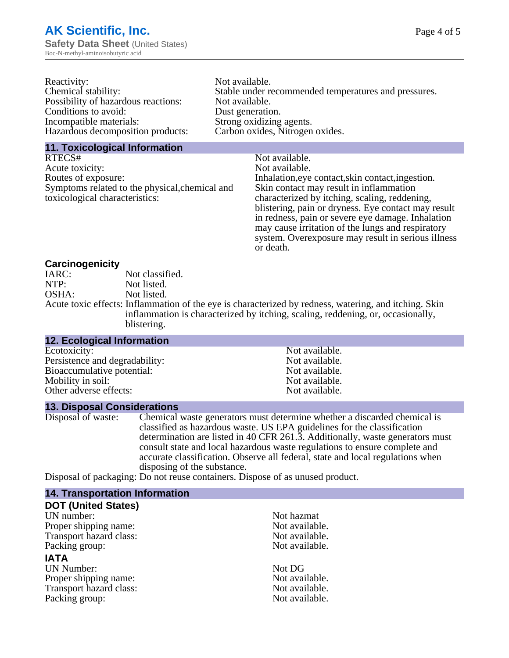| Reactivity:                         | Not available.                                       |
|-------------------------------------|------------------------------------------------------|
| Chemical stability:                 | Stable under recommended temperatures and pressures. |
| Possibility of hazardous reactions: | Not available.                                       |
| Conditions to avoid:                | Dust generation.                                     |
| Incompatible materials:             | Strong oxidizing agents.                             |
| Hazardous decomposition products:   | Carbon oxides, Nitrogen oxides.                      |
|                                     |                                                      |

#### **11. Toxicological Information**

| RTECS#                                         | Not available.                                      |
|------------------------------------------------|-----------------------------------------------------|
| Acute toxicity:                                | Not available.                                      |
| Routes of exposure:                            | Inhalation, eye contact, skin contact, ingestion.   |
| Symptoms related to the physical, chemical and | Skin contact may result in inflammation             |
| toxicological characteristics:                 | characterized by itching, scaling, reddening,       |
|                                                | blistering, pain or dryness. Eye contact may result |
|                                                | in redness, pain or severe eye damage. Inhalation   |
|                                                | may cause irritation of the lungs and respiratory   |
|                                                | system. Overexposure may result in serious illness  |

or death.

#### **Carcinogenicity**

| IARC: | Not classified.                                                                                       |
|-------|-------------------------------------------------------------------------------------------------------|
| NTP:  | Not listed.                                                                                           |
| OSHA: | Not listed.                                                                                           |
|       | Acute toxic effects: Inflammation of the eye is characterized by redness, watering, and itching. Skin |
|       | inflammation is characterized by itching, scaling, reddening, or, occasionally,                       |
|       | blistering.                                                                                           |

| <b>12. Ecological Information</b> |                |  |
|-----------------------------------|----------------|--|
| Ecotoxicity:                      | Not available. |  |
| Persistence and degradability:    | Not available. |  |
| Bioaccumulative potential:        | Not available. |  |
| Mobility in soil:                 | Not available. |  |
| Other adverse effects:            | Not available. |  |
|                                   |                |  |

#### **13. Disposal Considerations**

Disposal of waste: Chemical waste generators must determine whether a discarded chemical is classified as hazardous waste. US EPA guidelines for the classification determination are listed in 40 CFR 261.3. Additionally, waste generators must consult state and local hazardous waste regulations to ensure complete and accurate classification. Observe all federal, state and local regulations when disposing of the substance.

Disposal of packaging: Do not reuse containers. Dispose of as unused product.

| <b>14. Transportation Information</b> |                |
|---------------------------------------|----------------|
| <b>DOT (United States)</b>            |                |
| UN number:                            | Not hazmat     |
| Proper shipping name:                 | Not available. |
| Transport hazard class:               | Not available. |
| Packing group:                        | Not available. |
| <b>IATA</b>                           |                |
| <b>UN Number:</b>                     | Not DG         |
| Proper shipping name:                 | Not available. |
| Transport hazard class:               | Not available. |
| Packing group:                        | Not available. |